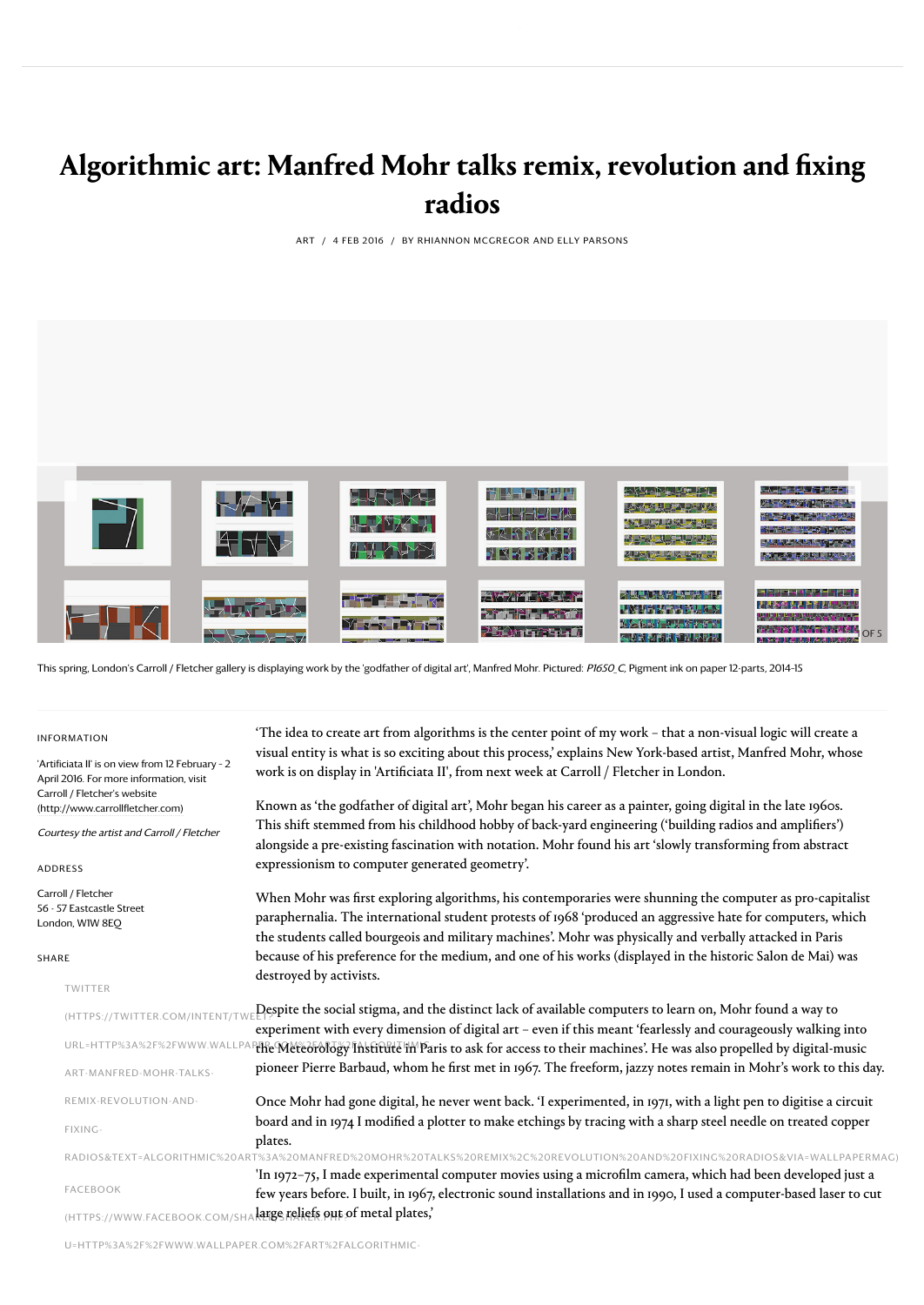# **Algorithmic art: Manfred Mohr talks remix, revolution and fixing radios**

ART / 4 FEB 2016 / BY RHIANNON MCGREGOR AND ELLY PARSONS



This spring, London's Carroll / Fletcher gallery is displaying work by the 'godfather of digital art', Manfred Mohr. Pictured: P1650\_C, Pigment ink on paper 12-parts, 2014-15

#### INFORMATION

| <b>INFORMATION</b>                                                                          | 'The idea to create art from algorithms is the center point of my work - that a non-visual logic will create a                                                                                                                                                                                                                       |  |  |  |  |
|---------------------------------------------------------------------------------------------|--------------------------------------------------------------------------------------------------------------------------------------------------------------------------------------------------------------------------------------------------------------------------------------------------------------------------------------|--|--|--|--|
|                                                                                             | visual entity is what is so exciting about this process,' explains New York-based artist, Manfred Mohr, whose                                                                                                                                                                                                                        |  |  |  |  |
| 'Artificiata II' is on view from 12 February - 2<br>April 2016. For more information, visit | work is on display in 'Artificiata II', from next week at Carroll / Fletcher in London.                                                                                                                                                                                                                                              |  |  |  |  |
| Carroll / Fletcher's website                                                                | Known as 'the godfather of digital art', Mohr began his career as a painter, going digital in the late 1960s.                                                                                                                                                                                                                        |  |  |  |  |
| (http://www.carrollfletcher.com)                                                            |                                                                                                                                                                                                                                                                                                                                      |  |  |  |  |
| Courtesy the artist and Carroll / Fletcher                                                  | This shift stemmed from his childhood hobby of back-yard engineering ('building radios and amplifiers')                                                                                                                                                                                                                              |  |  |  |  |
|                                                                                             | alongside a pre-existing fascination with notation. Mohr found his art 'slowly transforming from abstract                                                                                                                                                                                                                            |  |  |  |  |
| <b>ADDRESS</b>                                                                              | expressionism to computer generated geometry'.                                                                                                                                                                                                                                                                                       |  |  |  |  |
| Carroll / Fletcher<br>56 - 57 Eastcastle Street<br>London, WIW 8EO                          | When Mohr was first exploring algorithms, his contemporaries were shunning the computer as pro-capitalist<br>paraphernalia. The international student protests of 1968 'produced an aggressive hate for computers, which<br>the students called bourgeois and military machines'. Mohr was physically and verbally attacked in Paris |  |  |  |  |
| SHARE                                                                                       | because of his preference for the medium, and one of his works (displayed in the historic Salon de Mai) was                                                                                                                                                                                                                          |  |  |  |  |
| TWITTER                                                                                     | destroyed by activists.                                                                                                                                                                                                                                                                                                              |  |  |  |  |
| (HTTPS://TWITTER.COM/INTENT/TW                                                              | Despite the social stigma, and the distinct lack of available computers to learn on, Mohr found a way to                                                                                                                                                                                                                             |  |  |  |  |
|                                                                                             | experiment with every dimension of digital art - even if this meant 'fearlessly and courageously walking into                                                                                                                                                                                                                        |  |  |  |  |
| URL=HTTP%3A%2F%2FWWW.WALLP                                                                  | the Meteorology Institute in Paris to ask for access to their machines'. He was also propelled by digital-music                                                                                                                                                                                                                      |  |  |  |  |
| ART-MANFRED-MOHR-TALKS-                                                                     | pioneer Pierre Barbaud, whom he first met in 1967. The freeform, jazzy notes remain in Mohr's work to this day.                                                                                                                                                                                                                      |  |  |  |  |
| REMIX-REVOLUTION-AND-                                                                       | Once Mohr had gone digital, he never went back. 'I experimented, in 1971, with a light pen to digitise a circuit                                                                                                                                                                                                                     |  |  |  |  |
| FIXING-                                                                                     | board and in 1974 I modified a plotter to make etchings by tracing with a sharp steel needle on treated copper                                                                                                                                                                                                                       |  |  |  |  |
|                                                                                             | plates.                                                                                                                                                                                                                                                                                                                              |  |  |  |  |
|                                                                                             | RADIOS&TEXT=ALGORITHMIC%20ART%3A%20MANFRED%20MOHR%20TALKS%20REMIX%2C%20REVOLUTION%20AND%20FIXING%20RADIOS&VIA=WALLPAPERMAGI                                                                                                                                                                                                          |  |  |  |  |
|                                                                                             | 'In 1972-75, I made experimental computer movies using a microfilm camera, which had been developed just a                                                                                                                                                                                                                           |  |  |  |  |
| <b>FACEBOOK</b>                                                                             | few years before. I built, in 1967, electronic sound installations and in 1990, I used a computer-based laser to cut                                                                                                                                                                                                                 |  |  |  |  |
| (HTTPS://WWW.FACEBOOK.COM/S                                                                 | large reliefs out of metal plates,                                                                                                                                                                                                                                                                                                   |  |  |  |  |

[U=HTTP%3A%2F%2FWWW.WALLPAPER.COM%2FART%2FALGORITHMIC-](https://www.facebook.com/sharer/sharer.php?u=http%3A%2F%2Fwww.wallpaper.com%2Fart%2Falgorithmic-art-manfred-mohr-talks-remix-revolution-and-fixing-radios)